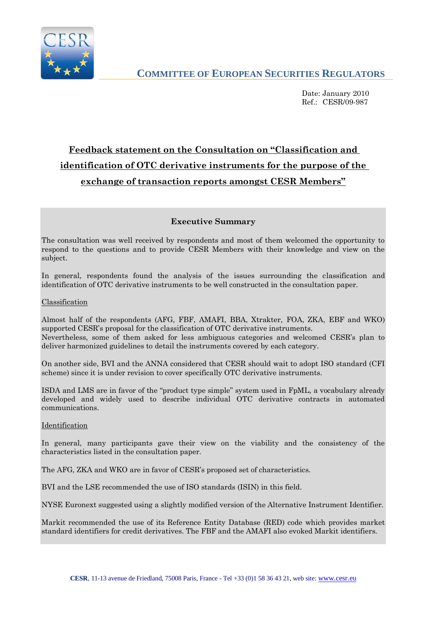

Date: January 2010 Ref.: CESR/09-987

# **Feedback statement on the Consultation on "Classification and identification of OTC derivative instruments for the purpose of the exchange of transaction reports amongst CESR Members"**

# **Executive Summary**

The consultation was well received by respondents and most of them welcomed the opportunity to respond to the questions and to provide CESR Members with their knowledge and view on the subject.

In general, respondents found the analysis of the issues surrounding the classification and identification of OTC derivative instruments to be well constructed in the consultation paper.

### Classification

Almost half of the respondents (AFG, FBF, AMAFI, BBA, Xtrakter, FOA, ZKA, EBF and WKO) supported CESR's proposal for the classification of OTC derivative instruments. Nevertheless, some of them asked for less ambiguous categories and welcomed CESR's plan to deliver harmonized guidelines to detail the instruments covered by each category.

On another side, BVI and the ANNA considered that CESR should wait to adopt ISO standard (CFI scheme) since it is under revision to cover specifically OTC derivative instruments.

ISDA and LMS are in favor of the "product type simple" system used in FpML, a vocabulary already developed and widely used to describe individual OTC derivative contracts in automated communications.

### Identification

In general, many participants gave their view on the viability and the consistency of the characteristics listed in the consultation paper.

The AFG, ZKA and WKO are in favor of CESR's proposed set of characteristics.

BVI and the LSE recommended the use of ISO standards (ISIN) in this field.

NYSE Euronext suggested using a slightly modified version of the Alternative Instrument Identifier.

Markit recommended the use of its Reference Entity Database (RED) code which provides market standard identifiers for credit derivatives. The FBF and the AMAFI also evoked Markit identifiers.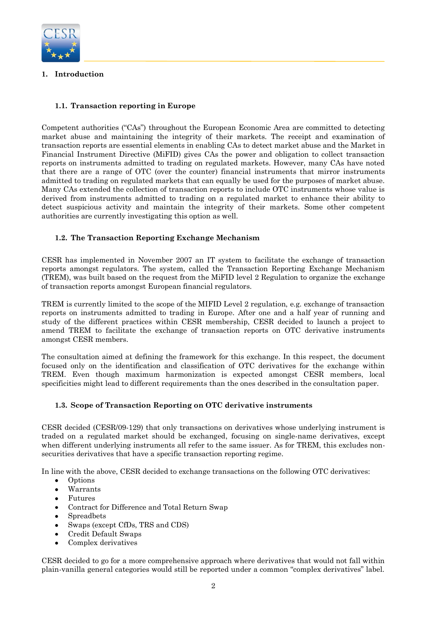

# **1. Introduction**

# **1.1. Transaction reporting in Europe**

Competent authorities ("CAs") throughout the European Economic Area are committed to detecting market abuse and maintaining the integrity of their markets. The receipt and examination of transaction reports are essential elements in enabling CAs to detect market abuse and the Market in Financial Instrument Directive (MiFID) gives CAs the power and obligation to collect transaction reports on instruments admitted to trading on regulated markets. However, many CAs have noted that there are a range of OTC (over the counter) financial instruments that mirror instruments admitted to trading on regulated markets that can equally be used for the purposes of market abuse. Many CAs extended the collection of transaction reports to include OTC instruments whose value is derived from instruments admitted to trading on a regulated market to enhance their ability to detect suspicious activity and maintain the integrity of their markets. Some other competent authorities are currently investigating this option as well.

# **1.2. The Transaction Reporting Exchange Mechanism**

CESR has implemented in November 2007 an IT system to facilitate the exchange of transaction reports amongst regulators. The system, called the Transaction Reporting Exchange Mechanism (TREM), was built based on the request from the MiFID level 2 Regulation to organize the exchange of transaction reports amongst European financial regulators.

TREM is currently limited to the scope of the MIFID Level 2 regulation, e.g. exchange of transaction reports on instruments admitted to trading in Europe. After one and a half year of running and study of the different practices within CESR membership, CESR decided to launch a project to amend TREM to facilitate the exchange of transaction reports on OTC derivative instruments amongst CESR members.

The consultation aimed at defining the framework for this exchange. In this respect, the document focused only on the identification and classification of OTC derivatives for the exchange within TREM. Even though maximum harmonization is expected amongst CESR members, local specificities might lead to different requirements than the ones described in the consultation paper.

# **1.3. Scope of Transaction Reporting on OTC derivative instruments**

CESR decided (CESR/09-129) that only transactions on derivatives whose underlying instrument is traded on a regulated market should be exchanged, focusing on single-name derivatives, except when different underlying instruments all refer to the same issuer. As for TREM, this excludes nonsecurities derivatives that have a specific transaction reporting regime.

In line with the above, CESR decided to exchange transactions on the following OTC derivatives:

- Options  $\bullet$
- $\bullet$ Warrants
- $\bullet$ Futures
- $\bullet$ Contract for Difference and Total Return Swap
- $\bullet$ Spreadbets
- $\bullet$ Swaps (except CfDs, TRS and CDS)
- $\bullet$ Credit Default Swaps
- $\bullet$ Complex derivatives

CESR decided to go for a more comprehensive approach where derivatives that would not fall within plain-vanilla general categories would still be reported under a common "complex derivatives" label.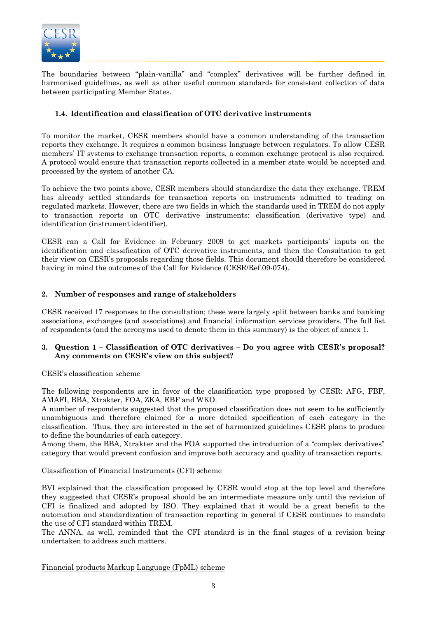

The boundaries between "plain-vanilla" and "complex" derivatives will be further defined in harmonised guidelines, as well as other useful common standards for consistent collection of data between participating Member States.

### **1.4. Identification and classification of OTC derivative instruments**

To monitor the market, CESR members should have a common understanding of the transaction reports they exchange. It requires a common business language between regulators. To allow CESR members' IT systems to exchange transaction reports, a common exchange protocol is also required. A protocol would ensure that transaction reports collected in a member state would be accepted and processed by the system of another CA.

To achieve the two points above, CESR members should standardize the data they exchange. TREM has already settled standards for transaction reports on instruments admitted to trading on regulated markets. However, there are two fields in which the standards used in TREM do not apply to transaction reports on OTC derivative instruments: classification (derivative type) and identification (instrument identifier).

CESR ran a Call for Evidence in February 2009 to get markets participants' inputs on the identification and classification of OTC derivative instruments, and then the Consultation to get their view on CESR's proposals regarding those fields. This document should therefore be considered having in mind the outcomes of the Call for Evidence (CESR/Ref.09-074).

### **2. Number of responses and range of stakeholders**

CESR received 17 responses to the consultation; these were largely split between banks and banking associations, exchanges (and associations) and financial information services providers. The full list of respondents (and the acronyms used to denote them in this summary) is the object of annex 1.

### **3. Question 1 – Classification of OTC derivatives – Do you agree with CESR's proposal? Any comments on CESR's view on this subject?**

#### CESR's classification scheme

The following respondents are in favor of the classification type proposed by CESR: AFG, FBF, AMAFI, BBA, Xtrakter, FOA, ZKA, EBF and WKO.

A number of respondents suggested that the proposed classification does not seem to be sufficiently unambiguous and therefore claimed for a more detailed specification of each category in the classification. Thus, they are interested in the set of harmonized guidelines CESR plans to produce to define the boundaries of each category.

Among them, the BBA, Xtrakter and the FOA supported the introduction of a "complex derivatives" category that would prevent confusion and improve both accuracy and quality of transaction reports.

### Classification of Financial Instruments (CFI) scheme

BVI explained that the classification proposed by CESR would stop at the top level and therefore they suggested that CESR's proposal should be an intermediate measure only until the revision of CFI is finalized and adopted by ISO. They explained that it would be a great benefit to the automation and standardization of transaction reporting in general if CESR continues to mandate the use of CFI standard within TREM.

The ANNA, as well, reminded that the CFI standard is in the final stages of a revision being undertaken to address such matters.

Financial products Markup Language (FpML) scheme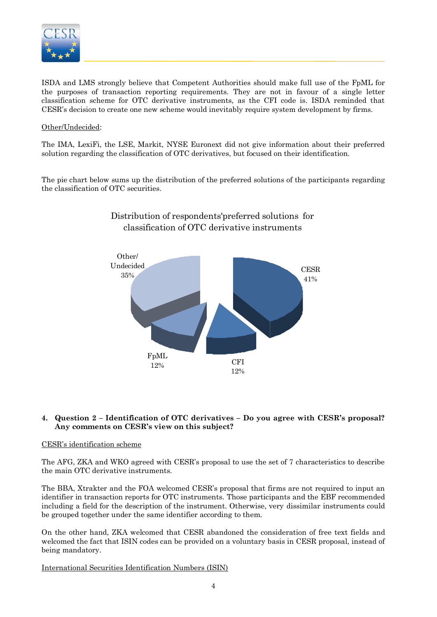

ISDA and LMS strongly believe that Competent Authorities should make full use of the FpML for the purposes of transaction reporting requirements. They are not in favour of a single letter classification scheme for OTC derivative instruments, as the CFI code is. ISDA reminded that CESR's decision to create one new scheme would inevitably require system development by firms.

### Other/Undecided:

The IMA, LexiFi, the LSE, Markit, NYSE Euronext did not give information about their preferred solution regarding the classification of OTC derivatives, but focused on their identification.

The pie chart below sums up the distribution of the preferred solutions of the participants regarding the classification of OTC securities.



# Distribution of respondents'preferred solutions for classification of OTC derivative instruments

### **4. Question 2 – Identification of OTC derivatives – Do you agree with CESR's proposal? Any comments on CESR's view on this subject?**

### CESR's identification scheme

The AFG, ZKA and WKO agreed with CESR's proposal to use the set of 7 characteristics to describe the main OTC derivative instruments.

The BBA, Xtrakter and the FOA welcomed CESR's proposal that firms are not required to input an identifier in transaction reports for OTC instruments. Those participants and the EBF recommended including a field for the description of the instrument. Otherwise, very dissimilar instruments could be grouped together under the same identifier according to them.

On the other hand, ZKA welcomed that CESR abandoned the consideration of free text fields and welcomed the fact that ISIN codes can be provided on a voluntary basis in CESR proposal, instead of being mandatory.

International Securities Identification Numbers (ISIN)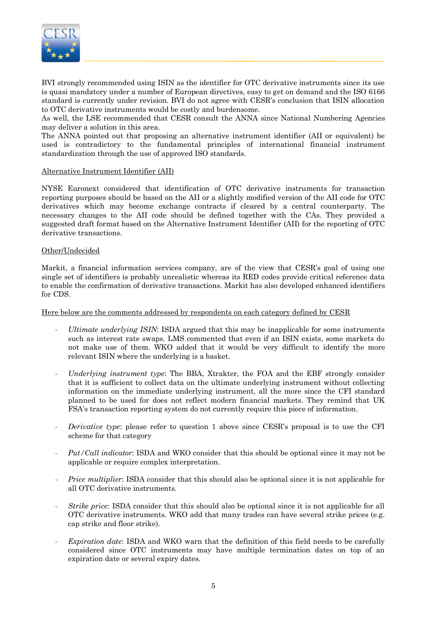

BVI strongly recommended using ISIN as the identifier for OTC derivative instruments since its use is quasi mandatory under a number of European directives, easy to get on demand and the ISO 6166 standard is currently under revision. BVI do not agree with CESR's conclusion that ISIN allocation to OTC derivative instruments would be costly and burdensome.

As well, the LSE recommended that CESR consult the ANNA since National Numbering Agencies may deliver a solution in this area.

The ANNA pointed out that proposing an alternative instrument identifier (AII or equivalent) be used is contradictory to the fundamental principles of international financial instrument standardization through the use of approved ISO standards.

### Alternative Instrument Identifier (AII)

NYSE Euronext considered that identification of OTC derivative instruments for transaction reporting purposes should be based on the AII or a slightly modified version of the AII code for OTC derivatives which may become exchange contracts if cleared by a central counterparty. The necessary changes to the AII code should be defined together with the CAs. They provided a suggested draft format based on the Alternative Instrument Identifier (AII) for the reporting of OTC derivative transactions.

### Other/Undecided

Markit, a financial information services company, are of the view that CESR's goal of using one single set of identifiers is probably unrealistic whereas its RED codes provide critical reference data to enable the confirmation of derivative transactions. Markit has also developed enhanced identifiers for CDS.

Here below are the comments addressed by respondents on each category defined by CESR

- *Ultimate underlying ISIN*: ISDA argued that this may be inapplicable for some instruments such as interest rate swaps. LMS commented that even if an ISIN exists, some markets do not make use of them. WKO added that it would be very difficult to identify the more relevant ISIN where the underlying is a basket.
- *Underlying instrument type*: The BBA, Xtrakter, the FOA and the EBF strongly consider that it is sufficient to collect data on the ultimate underlying instrument without collecting information on the immediate underlying instrument, all the more since the CFI standard planned to be used for does not reflect modern financial markets. They remind that UK FSA's transaction reporting system do not currently require this piece of information.
- *Derivative type*: please refer to question 1 above since CESR's proposal is to use the CFI scheme for that category
- *Put/Call indicator*: ISDA and WKO consider that this should be optional since it may not be applicable or require complex interpretation.
- *Price multiplier*: ISDA consider that this should also be optional since it is not applicable for all OTC derivative instruments.
- *Strike price*: ISDA consider that this should also be optional since it is not applicable for all OTC derivative instruments. WKO add that many trades can have several strike prices (e.g. cap strike and floor strike).
- *Expiration date*: ISDA and WKO warn that the definition of this field needs to be carefully considered since OTC instruments may have multiple termination dates on top of an expiration date or several expiry dates.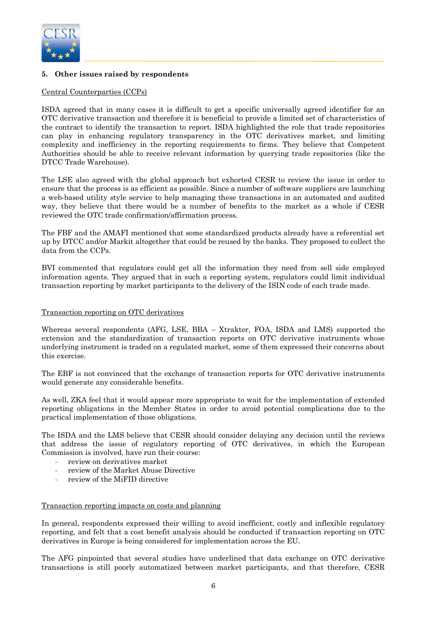

# **5. Other issues raised by respondents**

### Central Counterparties (CCPs)

ISDA agreed that in many cases it is difficult to get a specific universally agreed identifier for an OTC derivative transaction and therefore it is beneficial to provide a limited set of characteristics of the contract to identify the transaction to report. ISDA highlighted the role that trade repositories can play in enhancing regulatory transparency in the OTC derivatives market, and limiting complexity and inefficiency in the reporting requirements to firms. They believe that Competent Authorities should be able to receive relevant information by querying trade repositories (like the DTCC Trade Warehouse).

The LSE also agreed with the global approach but exhorted CESR to review the issue in order to ensure that the process is as efficient as possible. Since a number of software suppliers are launching a web-based utility style service to help managing these transactions in an automated and audited way, they believe that there would be a number of benefits to the market as a whole if CESR reviewed the OTC trade confirmation/affirmation process.

The FBF and the AMAFI mentioned that some standardized products already have a referential set up by DTCC and/or Markit altogether that could be reused by the banks. They proposed to collect the data from the CCPs.

BVI commented that regulators could get all the information they need from sell side employed information agents. They argued that in such a reporting system, regulators could limit individual transaction reporting by market participants to the delivery of the ISIN code of each trade made.

### Transaction reporting on OTC derivatives

Whereas several respondents (AFG, LSE, BBA – Xtrakter, FOA, ISDA and LMS) supported the extension and the standardization of transaction reports on OTC derivative instruments whose underlying instrument is traded on a regulated market, some of them expressed their concerns about this exercise.

The EBF is not convinced that the exchange of transaction reports for OTC derivative instruments would generate any considerable benefits.

As well, ZKA feel that it would appear more appropriate to wait for the implementation of extended reporting obligations in the Member States in order to avoid potential complications due to the practical implementation of those obligations.

The ISDA and the LMS believe that CESR should consider delaying any decision until the reviews that address the issue of regulatory reporting of OTC derivatives, in which the European Commission is involved, have run their course:

- review on derivatives market
- review of the Market Abuse Directive
- review of the MiFID directive

#### Transaction reporting impacts on costs and planning

In general, respondents expressed their willing to avoid inefficient, costly and inflexible regulatory reporting, and felt that a cost benefit analysis should be conducted if transaction reporting on OTC derivatives in Europe is being considered for implementation across the EU.

The AFG pinpointed that several studies have underlined that data exchange on OTC derivative transactions is still poorly automatized between market participants, and that therefore, CESR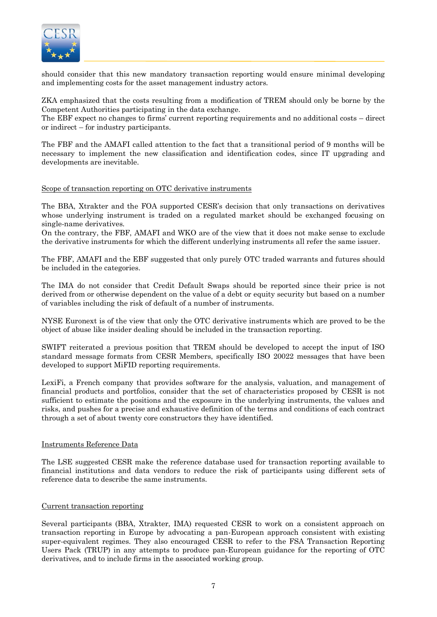

should consider that this new mandatory transaction reporting would ensure minimal developing and implementing costs for the asset management industry actors.

ZKA emphasized that the costs resulting from a modification of TREM should only be borne by the Competent Authorities participating in the data exchange.

The EBF expect no changes to firms' current reporting requirements and no additional costs – direct or indirect – for industry participants.

The FBF and the AMAFI called attention to the fact that a transitional period of 9 months will be necessary to implement the new classification and identification codes, since IT upgrading and developments are inevitable.

Scope of transaction reporting on OTC derivative instruments

The BBA, Xtrakter and the FOA supported CESR's decision that only transactions on derivatives whose underlying instrument is traded on a regulated market should be exchanged focusing on single-name derivatives.

On the contrary, the FBF, AMAFI and WKO are of the view that it does not make sense to exclude the derivative instruments for which the different underlying instruments all refer the same issuer.

The FBF, AMAFI and the EBF suggested that only purely OTC traded warrants and futures should be included in the categories.

The IMA do not consider that Credit Default Swaps should be reported since their price is not derived from or otherwise dependent on the value of a debt or equity security but based on a number of variables including the risk of default of a number of instruments.

NYSE Euronext is of the view that only the OTC derivative instruments which are proved to be the object of abuse like insider dealing should be included in the transaction reporting.

SWIFT reiterated a previous position that TREM should be developed to accept the input of ISO standard message formats from CESR Members, specifically ISO 20022 messages that have been developed to support MiFID reporting requirements.

LexiFi, a French company that provides software for the analysis, valuation, and management of financial products and portfolios, consider that the set of characteristics proposed by CESR is not sufficient to estimate the positions and the exposure in the underlying instruments, the values and risks, and pushes for a precise and exhaustive definition of the terms and conditions of each contract through a set of about twenty core constructors they have identified.

### Instruments Reference Data

The LSE suggested CESR make the reference database used for transaction reporting available to financial institutions and data vendors to reduce the risk of participants using different sets of reference data to describe the same instruments.

### Current transaction reporting

Several participants (BBA, Xtrakter, IMA) requested CESR to work on a consistent approach on transaction reporting in Europe by advocating a pan-European approach consistent with existing super-equivalent regimes. They also encouraged CESR to refer to the FSA Transaction Reporting Users Pack (TRUP) in any attempts to produce pan-European guidance for the reporting of OTC derivatives, and to include firms in the associated working group.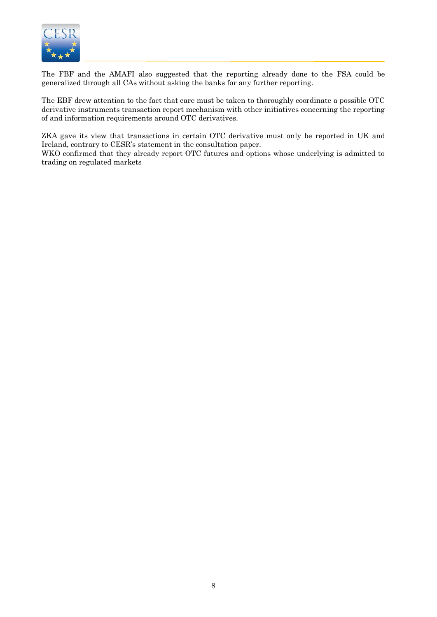

The FBF and the AMAFI also suggested that the reporting already done to the FSA could be generalized through all CAs without asking the banks for any further reporting.

The EBF drew attention to the fact that care must be taken to thoroughly coordinate a possible OTC derivative instruments transaction report mechanism with other initiatives concerning the reporting of and information requirements around OTC derivatives.

ZKA gave its view that transactions in certain OTC derivative must only be reported in UK and Ireland, contrary to CESR's statement in the consultation paper.

WKO confirmed that they already report OTC futures and options whose underlying is admitted to trading on regulated markets